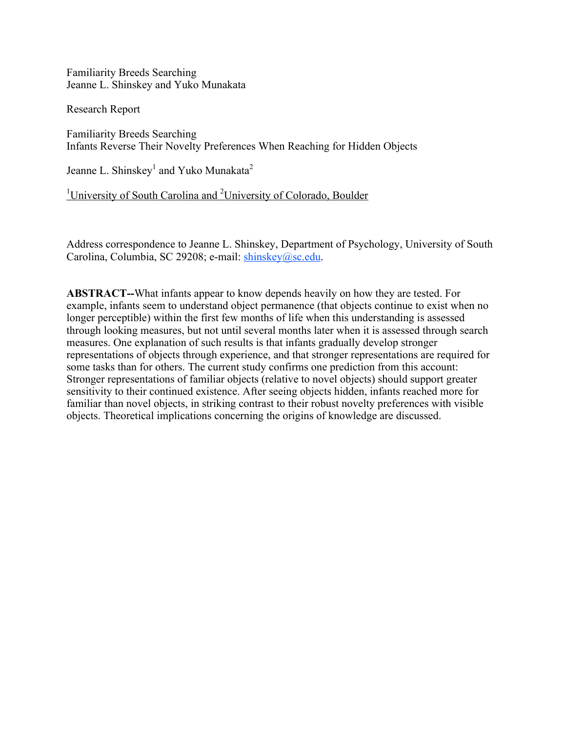Familiarity Breeds Searching Jeanne L. Shinskey and Yuko Munakata

Research Report

Familiarity Breeds Searching Infants Reverse Their Novelty Preferences When Reaching for Hidden Objects

Jeanne L. Shinskey<sup>1</sup> and Yuko Munakata<sup>2</sup>

<sup>1</sup>University of South Carolina and <sup>2</sup>University of Colorado, Boulder

Address correspondence to Jeanne L. Shinskey, Department of Psychology, University of South Carolina, Columbia, SC 29208; e-mail: shinskey@sc.edu.

ABSTRACT--What infants appear to know depends heavily on how they are tested. For example, infants seem to understand object permanence (that objects continue to exist when no longer perceptible) within the first few months of life when this understanding is assessed through looking measures, but not until several months later when it is assessed through search measures. One explanation of such results is that infants gradually develop stronger representations of objects through experience, and that stronger representations are required for some tasks than for others. The current study confirms one prediction from this account: Stronger representations of familiar objects (relative to novel objects) should support greater sensitivity to their continued existence. After seeing objects hidden, infants reached more for familiar than novel objects, in striking contrast to their robust novelty preferences with visible objects. Theoretical implications concerning the origins of knowledge are discussed.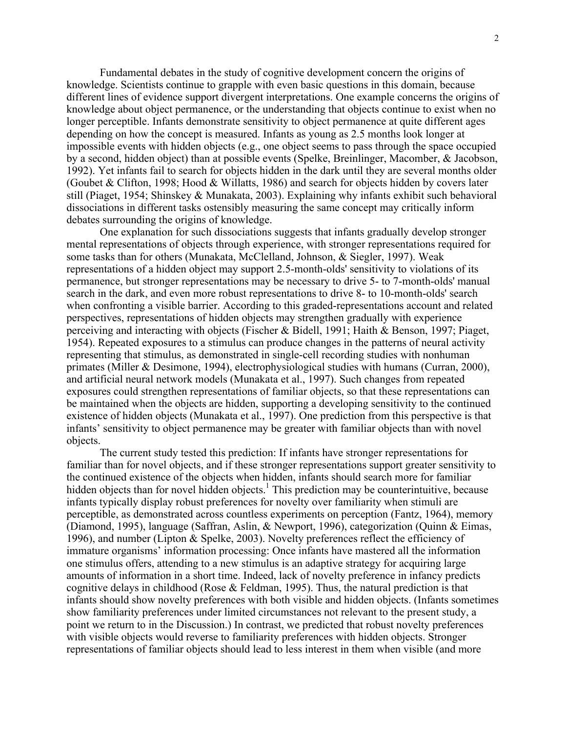Fundamental debates in the study of cognitive development concern the origins of knowledge. Scientists continue to grapple with even basic questions in this domain, because different lines of evidence support divergent interpretations. One example concerns the origins of knowledge about object permanence, or the understanding that objects continue to exist when no longer perceptible. Infants demonstrate sensitivity to object permanence at quite different ages depending on how the concept is measured. Infants as young as 2.5 months look longer at impossible events with hidden objects (e.g., one object seems to pass through the space occupied by a second, hidden object) than at possible events (Spelke, Breinlinger, Macomber, & Jacobson, 1992). Yet infants fail to search for objects hidden in the dark until they are several months older (Goubet & Clifton, 1998; Hood & Willatts, 1986) and search for objects hidden by covers later still (Piaget, 1954; Shinskey & Munakata, 2003). Explaining why infants exhibit such behavioral dissociations in different tasks ostensibly measuring the same concept may critically inform debates surrounding the origins of knowledge.

One explanation for such dissociations suggests that infants gradually develop stronger mental representations of objects through experience, with stronger representations required for some tasks than for others (Munakata, McClelland, Johnson, & Siegler, 1997). Weak representations of a hidden object may support 2.5-month-olds' sensitivity to violations of its permanence, but stronger representations may be necessary to drive 5- to 7-month-olds' manual search in the dark, and even more robust representations to drive 8- to 10-month-olds' search when confronting a visible barrier. According to this graded-representations account and related perspectives, representations of hidden objects may strengthen gradually with experience perceiving and interacting with objects (Fischer & Bidell, 1991; Haith & Benson, 1997; Piaget, 1954). Repeated exposures to a stimulus can produce changes in the patterns of neural activity representing that stimulus, as demonstrated in single-cell recording studies with nonhuman primates (Miller & Desimone, 1994), electrophysiological studies with humans (Curran, 2000), and artificial neural network models (Munakata et al., 1997). Such changes from repeated exposures could strengthen representations of familiar objects, so that these representations can be maintained when the objects are hidden, supporting a developing sensitivity to the continued existence of hidden objects (Munakata et al., 1997). One prediction from this perspective is that infants' sensitivity to object permanence may be greater with familiar objects than with novel objects.

The current study tested this prediction: If infants have stronger representations for familiar than for novel objects, and if these stronger representations support greater sensitivity to the continued existence of the objects when hidden, infants should search more for familiar hidden objects than for novel hidden objects.<sup>1</sup> This prediction may be counterintuitive, because infants typically display robust preferences for novelty over familiarity when stimuli are perceptible, as demonstrated across countless experiments on perception (Fantz, 1964), memory (Diamond, 1995), language (Saffran, Aslin, & Newport, 1996), categorization (Quinn & Eimas, 1996), and number (Lipton & Spelke, 2003). Novelty preferences reflect the efficiency of immature organisms' information processing: Once infants have mastered all the information one stimulus offers, attending to a new stimulus is an adaptive strategy for acquiring large amounts of information in a short time. Indeed, lack of novelty preference in infancy predicts cognitive delays in childhood (Rose  $&$  Feldman, 1995). Thus, the natural prediction is that infants should show novelty preferences with both visible and hidden objects. (Infants sometimes show familiarity preferences under limited circumstances not relevant to the present study, a point we return to in the Discussion.) In contrast, we predicted that robust novelty preferences with visible objects would reverse to familiarity preferences with hidden objects. Stronger representations of familiar objects should lead to less interest in them when visible (and more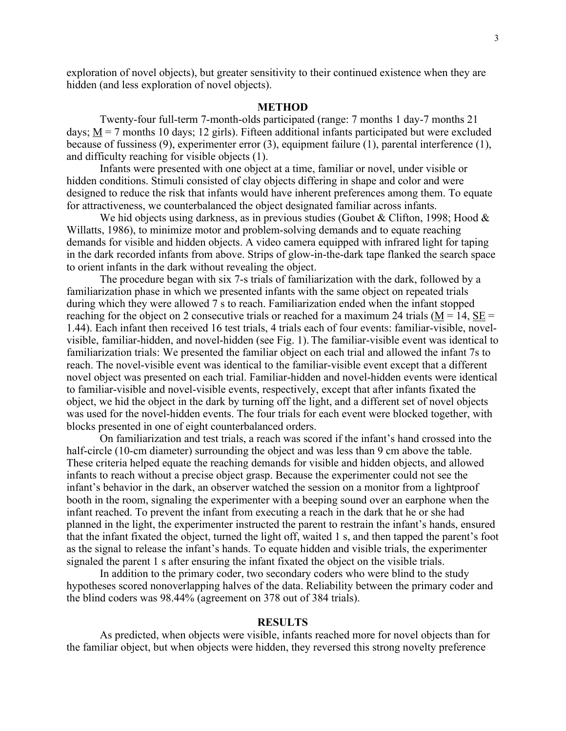exploration of novel objects), but greater sensitivity to their continued existence when they are hidden (and less exploration of novel objects).

## **METHOD**

Twenty-four full-term 7-month-olds participated (range: 7 months 1 day-7 months 21 days;  $\underline{M} = 7$  months 10 days; 12 girls). Fifteen additional infants participated but were excluded because of fussiness (9), experimenter error (3), equipment failure (1), parental interference (1), and difficulty reaching for visible objects (1).

Infants were presented with one object at a time, familiar or novel, under visible or hidden conditions. Stimuli consisted of clay objects differing in shape and color and were designed to reduce the risk that infants would have inherent preferences among them. To equate for attractiveness, we counterbalanced the object designated familiar across infants.

We hid objects using darkness, as in previous studies (Goubet & Clifton, 1998; Hood  $\&$ Willatts, 1986), to minimize motor and problem-solving demands and to equate reaching demands for visible and hidden objects. A video camera equipped with infrared light for taping in the dark recorded infants from above. Strips of glow-in-the-dark tape flanked the search space to orient infants in the dark without revealing the object.

The procedure began with six 7-s trials of familiarization with the dark, followed by a familiarization phase in which we presented infants with the same object on repeated trials during which they were allowed 7 s to reach. Familiarization ended when the infant stopped reaching for the object on 2 consecutive trials or reached for a maximum 24 trials ( $M = 14$ ,  $SE =$ 1.44). Each infant then received 16 test trials, 4 trials each of four events: familiar-visible, novelvisible, familiar-hidden, and novel-hidden (see Fig. 1). The familiar-visible event was identical to familiarization trials: We presented the familiar object on each trial and allowed the infant 7s to reach. The novel-visible event was identical to the familiar-visible event except that a different novel object was presented on each trial. Familiar-hidden and novel-hidden events were identical to familiar-visible and novel-visible events, respectively, except that after infants fixated the object, we hid the object in the dark by turning off the light, and a different set of novel objects was used for the novel-hidden events. The four trials for each event were blocked together, with blocks presented in one of eight counterbalanced orders.

On familiarization and test trials, a reach was scored if the infant's hand crossed into the half-circle (10-cm diameter) surrounding the object and was less than 9 cm above the table. These criteria helped equate the reaching demands for visible and hidden objects, and allowed infants to reach without a precise object grasp. Because the experimenter could not see the infant's behavior in the dark, an observer watched the session on a monitor from a lightproof booth in the room, signaling the experimenter with a beeping sound over an earphone when the infant reached. To prevent the infant from executing a reach in the dark that he or she had planned in the light, the experimenter instructed the parent to restrain the infant's hands, ensured that the infant fixated the object, turned the light off, waited 1 s, and then tapped the parent's foot as the signal to release the infant's hands. To equate hidden and visible trials, the experimenter signaled the parent 1 s after ensuring the infant fixated the object on the visible trials.

In addition to the primary coder, two secondary coders who were blind to the study hypotheses scored nonoverlapping halves of the data. Reliability between the primary coder and the blind coders was 98.44% (agreement on 378 out of 384 trials).

## RESULTS

As predicted, when objects were visible, infants reached more for novel objects than for the familiar object, but when objects were hidden, they reversed this strong novelty preference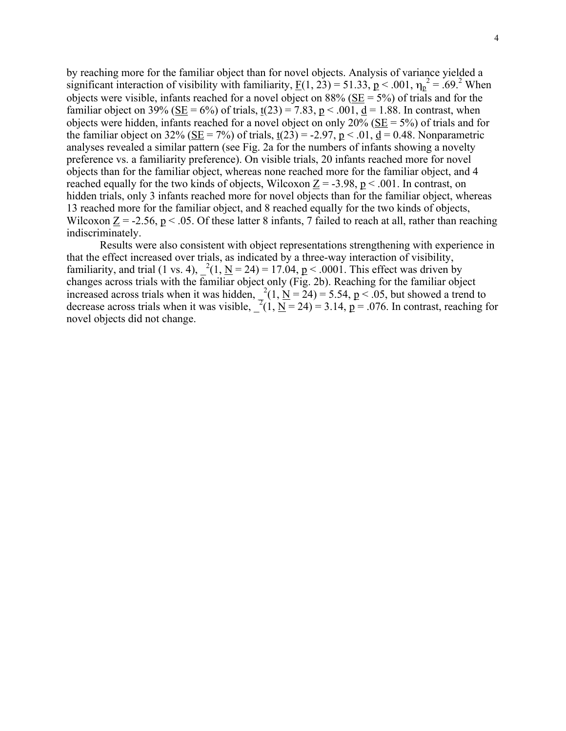by reaching more for the familiar object than for novel objects. Analysis of variance yielded a significant interaction of visibility with familiarity,  $\underline{F}(1, 23) = 51.33$ ,  $\underline{p} < .001$ ,  $\eta_{\underline{p}}^2 = .69$ .<sup>2</sup> When objects were visible, infants reached for a novel object on  $88\%$  (SE = 5%) of trials and for the familiar object on 39% (SE = 6%) of trials,  $t(23) = 7.83$ ,  $p < .001$ ,  $d = 1.88$ . In contrast, when objects were hidden, infants reached for a novel object on only 20% ( $SE = 5\%$ ) of trials and for the familiar object on 32% ( $SE = 7\%$ ) of trials,  $t(23) = -2.97$ ,  $p < .01$ ,  $d = 0.48$ . Nonparametric analyses revealed a similar pattern (see Fig. 2a for the numbers of infants showing a novelty preference vs. a familiarity preference). On visible trials, 20 infants reached more for novel objects than for the familiar object, whereas none reached more for the familiar object, and 4 reached equally for the two kinds of objects, Wilcoxon  $Z = -3.98$ ,  $p < .001$ . In contrast, on hidden trials, only 3 infants reached more for novel objects than for the familiar object, whereas 13 reached more for the familiar object, and 8 reached equally for the two kinds of objects, Wilcoxon  $\underline{Z}$  = -2.56,  $\underline{p}$  < .05. Of these latter 8 infants, 7 failed to reach at all, rather than reaching indiscriminately.

Results were also consistent with object representations strengthening with experience in that the effect increased over trials, as indicated by a three-way interaction of visibility, familiarity, and trial (1 vs. 4),  $\frac{1}{2}(1, \underline{N} = 24) = 17.04$ ,  $\underline{p} < .0001$ . This effect was driven by changes across trials with the familiar object only (Fig. 2b). Reaching for the familiar object increased across trials when it was hidden,  $^{2}(1, N = 24) = 5.54$ , p < .05, but showed a trend to decrease across trials when it was visible,  $\frac{1}{2}(1, \overline{N} = 24) = 3.14$ ,  $\overline{p} = .076$ . In contrast, reaching for novel objects did not change.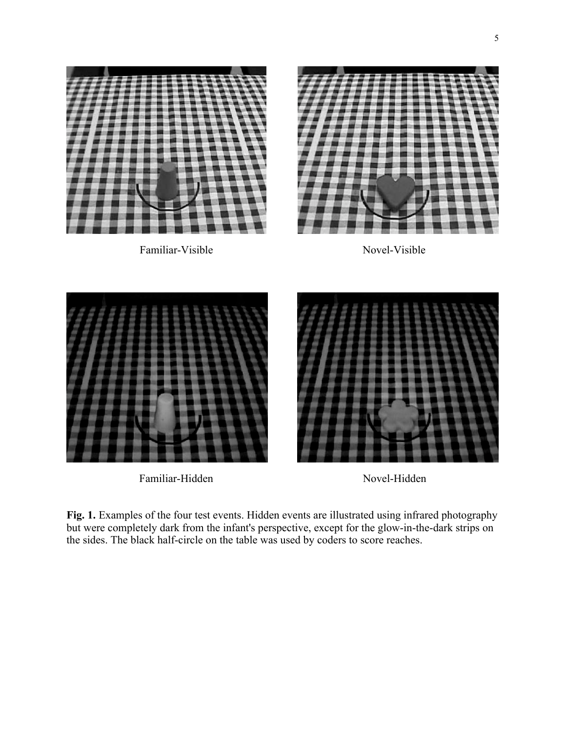

Familiar-Visible Novel-Visible





Familiar-Hidden Novel-Hidden



Fig. 1. Examples of the four test events. Hidden events are illustrated using infrared photography but were completely dark from the infant's perspective, except for the glow-in-the-dark strips on the sides. The black half-circle on the table was used by coders to score reaches.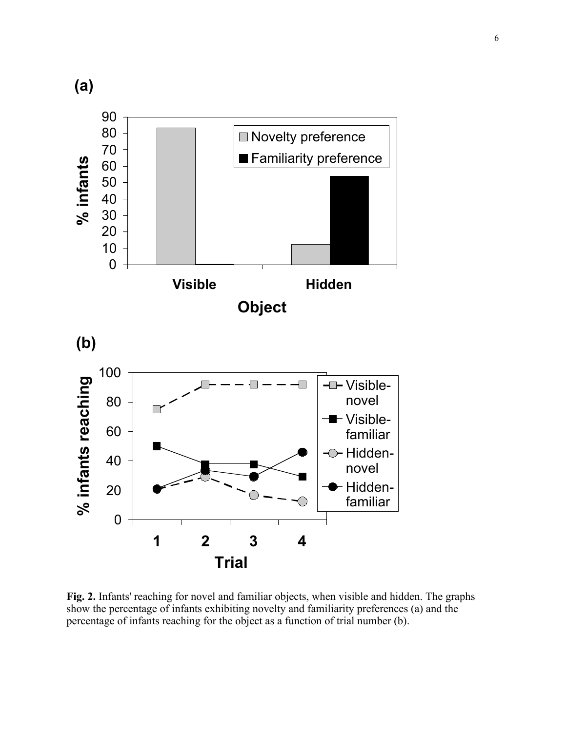



Fig. 2. Infants' reaching for novel and familiar objects, when visible and hidden. The graphs show the percentage of infants exhibiting novelty and familiarity preferences (a) and the percentage of infants reaching for the object as a function of trial number (b).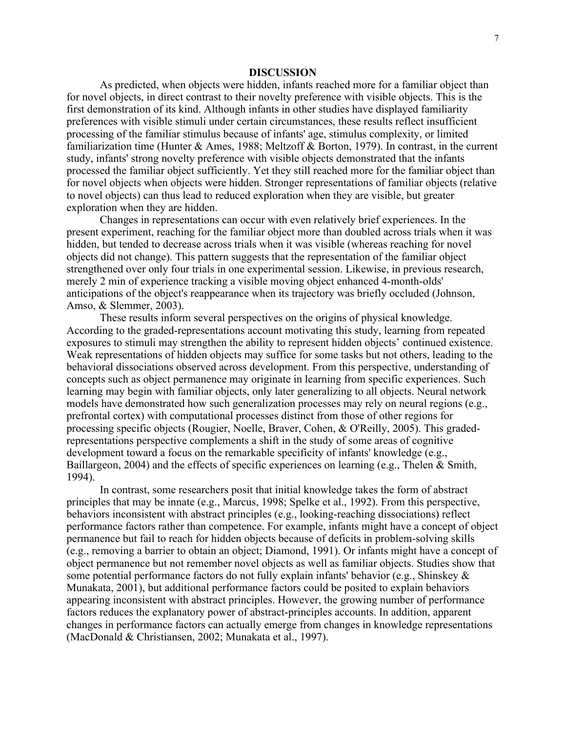## DISCUSSION

As predicted, when objects were hidden, infants reached more for a familiar object than for novel objects, in direct contrast to their novelty preference with visible objects. This is the first demonstration of its kind. Although infants in other studies have displayed familiarity preferences with visible stimuli under certain circumstances, these results reflect insufficient processing of the familiar stimulus because of infants' age, stimulus complexity, or limited familiarization time (Hunter & Ames, 1988; Meltzoff & Borton, 1979). In contrast, in the current study, infants' strong novelty preference with visible objects demonstrated that the infants processed the familiar object sufficiently. Yet they still reached more for the familiar object than for novel objects when objects were hidden. Stronger representations of familiar objects (relative to novel objects) can thus lead to reduced exploration when they are visible, but greater exploration when they are hidden.

Changes in representations can occur with even relatively brief experiences. In the present experiment, reaching for the familiar object more than doubled across trials when it was hidden, but tended to decrease across trials when it was visible (whereas reaching for novel objects did not change). This pattern suggests that the representation of the familiar object strengthened over only four trials in one experimental session. Likewise, in previous research, merely 2 min of experience tracking a visible moving object enhanced 4-month-olds' anticipations of the object's reappearance when its trajectory was briefly occluded (Johnson, Amso, & Slemmer, 2003).

These results inform several perspectives on the origins of physical knowledge. According to the graded-representations account motivating this study, learning from repeated exposures to stimuli may strengthen the ability to represent hidden objects' continued existence. Weak representations of hidden objects may suffice for some tasks but not others, leading to the behavioral dissociations observed across development. From this perspective, understanding of concepts such as object permanence may originate in learning from specific experiences. Such learning may begin with familiar objects, only later generalizing to all objects. Neural network models have demonstrated how such generalization processes may rely on neural regions (e.g., prefrontal cortex) with computational processes distinct from those of other regions for processing specific objects (Rougier, Noelle, Braver, Cohen, & O'Reilly, 2005). This gradedrepresentations perspective complements a shift in the study of some areas of cognitive development toward a focus on the remarkable specificity of infants' knowledge (e.g., Baillargeon, 2004) and the effects of specific experiences on learning (e.g., Thelen & Smith, 1994).

In contrast, some researchers posit that initial knowledge takes the form of abstract principles that may be innate (e.g., Marcus, 1998; Spelke et al., 1992). From this perspective, behaviors inconsistent with abstract principles (e.g., looking-reaching dissociations) reflect performance factors rather than competence. For example, infants might have a concept of object permanence but fail to reach for hidden objects because of deficits in problem-solving skills (e.g., removing a barrier to obtain an object; Diamond, 1991). Or infants might have a concept of object permanence but not remember novel objects as well as familiar objects. Studies show that some potential performance factors do not fully explain infants' behavior (e.g., Shinskey & Munakata, 2001), but additional performance factors could be posited to explain behaviors appearing inconsistent with abstract principles. However, the growing number of performance factors reduces the explanatory power of abstract-principles accounts. In addition, apparent changes in performance factors can actually emerge from changes in knowledge representations (MacDonald & Christiansen, 2002; Munakata et al., 1997).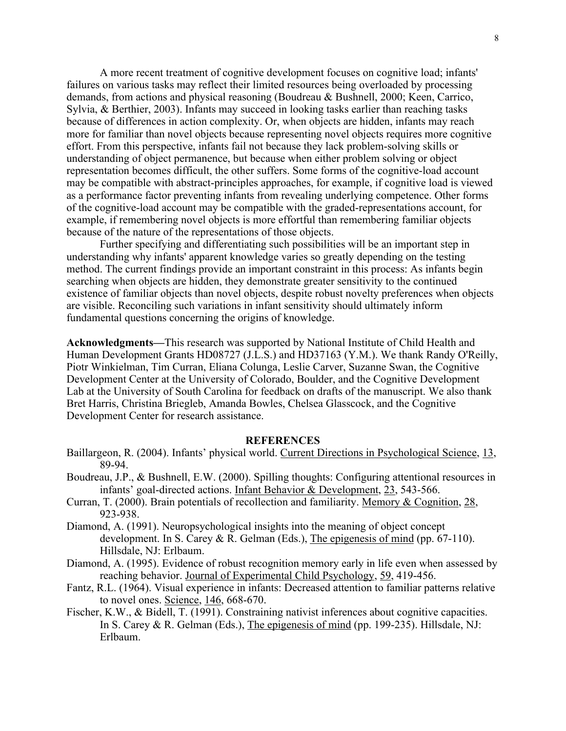A more recent treatment of cognitive development focuses on cognitive load; infants' failures on various tasks may reflect their limited resources being overloaded by processing demands, from actions and physical reasoning (Boudreau & Bushnell, 2000; Keen, Carrico, Sylvia, & Berthier, 2003). Infants may succeed in looking tasks earlier than reaching tasks because of differences in action complexity. Or, when objects are hidden, infants may reach more for familiar than novel objects because representing novel objects requires more cognitive effort. From this perspective, infants fail not because they lack problem-solving skills or understanding of object permanence, but because when either problem solving or object representation becomes difficult, the other suffers. Some forms of the cognitive-load account may be compatible with abstract-principles approaches, for example, if cognitive load is viewed as a performance factor preventing infants from revealing underlying competence. Other forms of the cognitive-load account may be compatible with the graded-representations account, for example, if remembering novel objects is more effortful than remembering familiar objects because of the nature of the representations of those objects.

Further specifying and differentiating such possibilities will be an important step in understanding why infants' apparent knowledge varies so greatly depending on the testing method. The current findings provide an important constraint in this process: As infants begin searching when objects are hidden, they demonstrate greater sensitivity to the continued existence of familiar objects than novel objects, despite robust novelty preferences when objects are visible. Reconciling such variations in infant sensitivity should ultimately inform fundamental questions concerning the origins of knowledge.

Acknowledgments—This research was supported by National Institute of Child Health and Human Development Grants HD08727 (J.L.S.) and HD37163 (Y.M.). We thank Randy O'Reilly, Piotr Winkielman, Tim Curran, Eliana Colunga, Leslie Carver, Suzanne Swan, the Cognitive Development Center at the University of Colorado, Boulder, and the Cognitive Development Lab at the University of South Carolina for feedback on drafts of the manuscript. We also thank Bret Harris, Christina Briegleb, Amanda Bowles, Chelsea Glasscock, and the Cognitive Development Center for research assistance.

## **REFERENCES**

- Baillargeon, R. (2004). Infants' physical world. Current Directions in Psychological Science, 13, 89-94.
- Boudreau, J.P., & Bushnell, E.W. (2000). Spilling thoughts: Configuring attentional resources in infants' goal-directed actions. Infant Behavior & Development, 23, 543-566.
- Curran, T. (2000). Brain potentials of recollection and familiarity. Memory & Cognition, 28, 923-938.
- Diamond, A. (1991). Neuropsychological insights into the meaning of object concept development. In S. Carey & R. Gelman (Eds.), The epigenesis of mind (pp. 67-110). Hillsdale, NJ: Erlbaum.
- Diamond, A. (1995). Evidence of robust recognition memory early in life even when assessed by reaching behavior. Journal of Experimental Child Psychology, 59, 419-456.
- Fantz, R.L. (1964). Visual experience in infants: Decreased attention to familiar patterns relative to novel ones. Science, 146, 668-670.
- Fischer, K.W., & Bidell, T. (1991). Constraining nativist inferences about cognitive capacities. In S. Carey & R. Gelman (Eds.), The epigenesis of mind (pp. 199-235). Hillsdale, NJ: Erlbaum.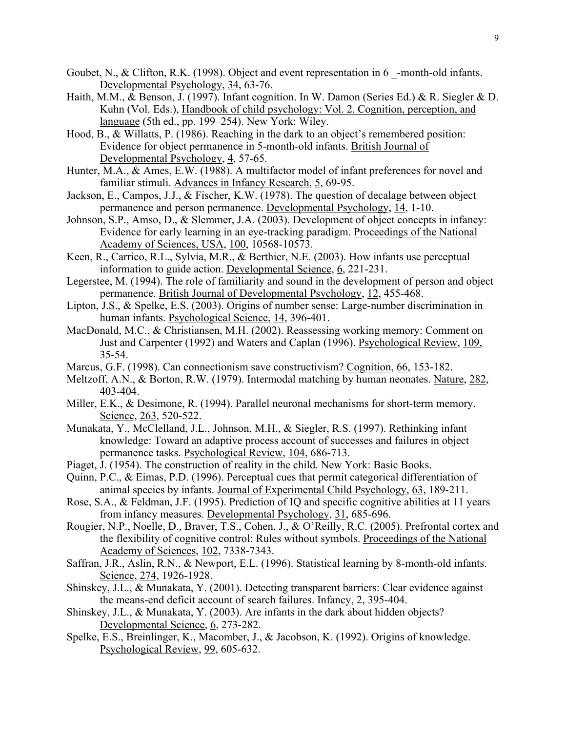- Goubet, N., & Clifton, R.K. (1998). Object and event representation in 6 -month-old infants. Developmental Psychology, 34, 63-76.
- Haith, M.M., & Benson, J. (1997). Infant cognition. In W. Damon (Series Ed.) & R. Siegler & D. Kuhn (Vol. Eds.), Handbook of child psychology: Vol. 2. Cognition, perception, and language (5th ed., pp. 199–254). New York: Wiley.
- Hood, B., & Willatts, P. (1986). Reaching in the dark to an object's remembered position: Evidence for object permanence in 5-month-old infants. British Journal of Developmental Psychology, 4, 57-65.
- Hunter, M.A., & Ames, E.W. (1988). A multifactor model of infant preferences for novel and familiar stimuli. Advances in Infancy Research, 5, 69-95.
- Jackson, E., Campos, J.J., & Fischer, K.W. (1978). The question of decalage between object permanence and person permanence. Developmental Psychology, 14, 1-10.
- Johnson, S.P., Amso, D., & Slemmer, J.A. (2003). Development of object concepts in infancy: Evidence for early learning in an eye-tracking paradigm. Proceedings of the National Academy of Sciences, USA, 100, 10568-10573.
- Keen, R., Carrico, R.L., Sylvia, M.R., & Berthier, N.E. (2003). How infants use perceptual information to guide action. Developmental Science, 6, 221-231.
- Legerstee, M. (1994). The role of familiarity and sound in the development of person and object permanence. British Journal of Developmental Psychology, 12, 455-468.
- Lipton, J.S., & Spelke, E.S. (2003). Origins of number sense: Large-number discrimination in human infants. Psychological Science, 14, 396-401.
- MacDonald, M.C., & Christiansen, M.H. (2002). Reassessing working memory: Comment on Just and Carpenter (1992) and Waters and Caplan (1996). Psychological Review, 109, 35-54.
- Marcus, G.F. (1998). Can connectionism save constructivism? Cognition, 66, 153-182.
- Meltzoff, A.N., & Borton, R.W. (1979). Intermodal matching by human neonates. Nature, 282, 403-404.
- Miller, E.K., & Desimone, R. (1994). Parallel neuronal mechanisms for short-term memory. Science, 263, 520-522.
- Munakata, Y., McClelland, J.L., Johnson, M.H., & Siegler, R.S. (1997). Rethinking infant knowledge: Toward an adaptive process account of successes and failures in object permanence tasks. Psychological Review, 104, 686-713.
- Piaget, J. (1954). The construction of reality in the child. New York: Basic Books.
- Quinn, P.C., & Eimas, P.D. (1996). Perceptual cues that permit categorical differentiation of animal species by infants. Journal of Experimental Child Psychology, 63, 189-211.
- Rose, S.A., & Feldman, J.F. (1995). Prediction of IQ and specific cognitive abilities at 11 years from infancy measures. Developmental Psychology, 31, 685-696.
- Rougier, N.P., Noelle, D., Braver, T.S., Cohen, J., & O'Reilly, R.C. (2005). Prefrontal cortex and the flexibility of cognitive control: Rules without symbols. Proceedings of the National Academy of Sciences, 102, 7338-7343.
- Saffran, J.R., Aslin, R.N., & Newport, E.L. (1996). Statistical learning by 8-month-old infants. Science, 274, 1926-1928.
- Shinskey, J.L., & Munakata, Y. (2001). Detecting transparent barriers: Clear evidence against the means-end deficit account of search failures. Infancy, 2, 395-404.
- Shinskey, J.L., & Munakata, Y. (2003). Are infants in the dark about hidden objects? Developmental Science, 6, 273-282.
- Spelke, E.S., Breinlinger, K., Macomber, J., & Jacobson, K. (1992). Origins of knowledge. Psychological Review, 99, 605-632.